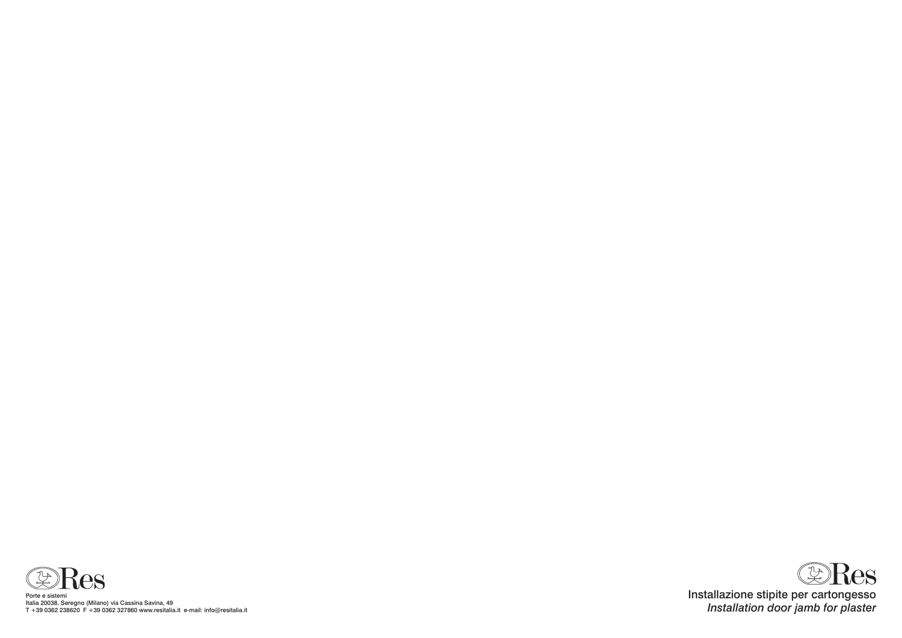

Porte e sistemi Italia 20038, Seregno (Milano) via Cassina Savina, 49 T +39 0362 238620 F +39 0362 327860 www.resitalia.it e-mail: info@resitalia.it